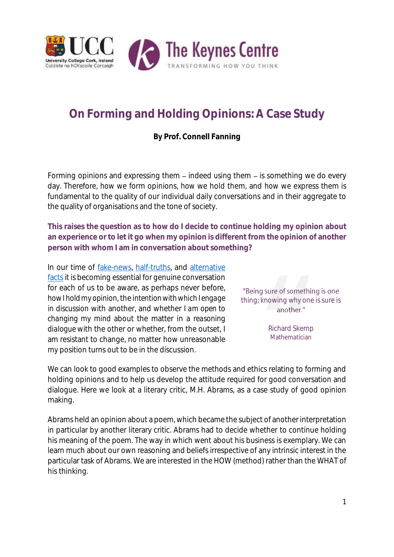

# **On Forming and Holding Opinions: A Case Study**

**By Prof. Connell Fanning**

Forming opinions and expressing them – indeed *using* them – is something we do every day. Therefore, *how* we form opinions, *how* we hold them, and *how* we express them is fundamental to the quality of our individual daily conversations and in their aggregate to the quality of organisations and the tone of society.

**This raises the question as to how do I decide to continue holding my opinion about an experience or to let it go when my opinion is different from the opinion of another person with whom I am in conversation about something?**

In our time of [fake-news,](https://www.theguardian.com/commentisfree/2017/mar/08/forget-alternative-facts-the-trump-administration-is-giving-us-alternative-history?utm_source=esp&utm_medium=Email&utm_campaign=GU+Today+main+NEW+H+categories&utm_term=216539&subid=21241174&CMP=EMCNEWEML6619I2) [half-truths,](http://www.timesofisrael.com/top-historians-take-down-livingstons-claim-that-hitler-supported-zionism/) and [alternative](https://www.nytimes.com/2017/02/04/opinion/sunday/why-nobody-cares-the-president-is-lying.html?smprod=nytcore-ipad&smid=nytcore-ipad-share&_r=0)  facts it is becoming essential for genuine conversation for each of us to be aware, as perhaps never before, *how I hold my opinion,* the *intention with which I engage in discussion* with another, and whether *I am open to changing my mind* about the matter in a *reasoning dialogue* with the other or whether, from the outset, I am resistant to change, no matter how unreasonable my position turns out to be in the discussion.



We can look to good examples to observe the methods and ethics relating to forming and holding opinions and to help us develop the attitude required for good conversation and dialogue. Here we look at a literary critic, M.H. Abrams, as a case study of good opinion making.

Abrams held an opinion about a poem, which became the subject of another interpretation in particular by another literary critic. Abrams had to decide whether to continue holding his meaning of the poem. The way in which went about his business is exemplary. We can learn much about our own reasoning and beliefs irrespective of any intrinsic interest in the particular task of Abrams. We are interested in the HOW (method) rather than the WHAT of his thinking.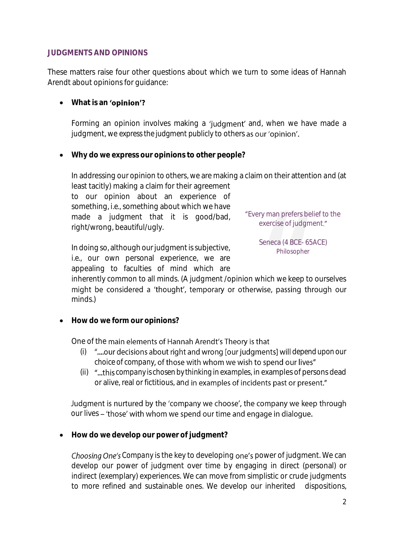#### **JUDGMENTS AND OPINIONS**

These matters raise four other questions about which we turn to some ideas of Hannah Arendt about opinions for guidance:

## **what is an 'opinion'?**

Forming an opinion involves making a 'judgment' and, when we have made a judgment, we *express the judgment publicly* to others as our 'opinion'.

**Why do we express our opinions to other people?**

In addressing our opinion to others, we are making a claim on their attention *and* (at least tacitly) making a claim for their agreement to our opinion about an experience of something, *i.e.,* something about which we have made a judgment that it is good/bad, right/wrong, beautiful/ugly. Every man prefers belief to the exercise of judgment."

In doing so, although our judgment is subjective, *i.e.,* our own personal experience, we are appealing to faculties of mind which are

Seneca (4 BCE- 65ACE) Philosopher

inherently common to all minds. (A judgment /opinion which we keep to ourselves might be considered a 'thought', temporary or otherwise, passing through our minds.)

**How do we form our opinions?**

One of the main elements of Hannah Arendt's Theory is that

- (i)  $\mu$ <sub>...</sub>.our decisions about right and wrong [our judgments] will *depend upon our choice of company*
- (ii) *d*...this company is chosen by thinking in examples, in examples of persons dead or alive, real or fictitious, and in examples of incidents past or present."

Judgment is nurtured by the 'company we choose', the company we keep through our lives - 'those' with whom we spend our time and engage in dialogue.

**How do we develop our power of judgment?**

*Choosing One's Company* is the key to developing one's power of judgment. We can develop our power of judgment over time by engaging in direct (personal) or indirect (exemplary) experiences. We can move from simplistic or crude judgments to more refined and sustainable ones. We develop our inherited dispositions,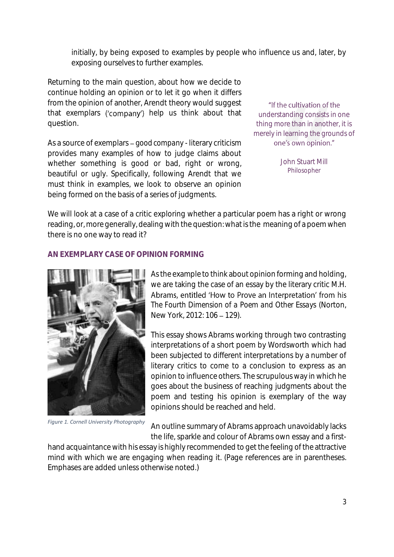initially, by being exposed to examples by people who influence us and, later, by exposing ourselves to further examples.

Returning to the main question, about how we decide to continue holding an opinion or to let it go when it differs from the opinion of another, Arendt theory would suggest that exemplars ('company') help us think about that question.

As a source of exemplars *good company* - literary criticism provides many examples of how to judge claims about whether something is good or bad, right or wrong, beautiful or ugly. Specifically, following Arendt that we must think in examples, we look to observe an opinion being formed on the basis of a series of judgments.

"If the cultivation of the understanding consists in one thing more than in another, it is merely in learning the grounds of one's own opinion."

> John Stuart Mill Philosopher

We will look at a case of a critic exploring whether a particular poem has a right or wrong reading, or, more generally, dealing with the question: what is the meaning of a poem when there is no one way to read it?

#### **AN EXEMPLARY CASE OF OPINION FORMING**



*Figure 1. Cornell University Photography*

As the example to think about opinion forming and holding, we are taking the case of an essay by the literary critic M.H. Abrams, entitled 'How to Prove an Interpretation' from his *The Fourth Dimension of a Poem and Other Essays* (Norton, New York, 2012: 106 - 129).

This essay shows Abrams working through two contrasting interpretations of a short poem by Wordsworth which had been subjected to different interpretations by a number of literary critics to come to a conclusion to express as an opinion to influence others. The scrupulous way in which he goes about the business of reaching judgments about the poem and testing his opinion is exemplary of the way opinions should be reached and held.

An outline summary of Abrams approach unavoidably lacks the life, sparkle and colour of Abrams own essay and a first-

hand acquaintance with his essay is highly recommended to get the feeling of the attractive mind with which we are engaging when reading it. (Page references are in parentheses. Emphases are added unless otherwise noted.)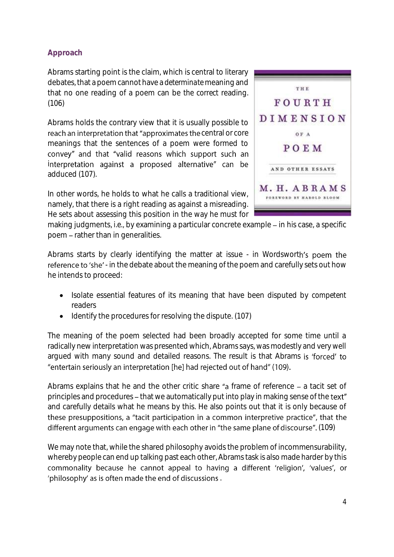## **Approach**

Abrams starting point is the claim, which is central to literary debates, that a poem cannot have a *determinate* meaning and that no one reading of a poem can be *the correct* reading. (106)

Abrams holds the contrary view that it is usually possible to reach an interpretation that "approximates the central or core meanings that the sentences of a poem were formed to convey" and that "valid reasons which support such an interpretation against a proposed alternative" can be adduced (107).

In other words, he holds to what he calls a traditional view, namely, that there is a right reading as against a misreading. He sets about assessing this position in the way he must for



making judgments, *i.e.*, by examining a particular concrete example – in his case, a specific poem - rather than in generalities.

Abrams starts by clearly identifying the matter at issue - in Wordsworth's poem the reference to 'she' - in the debate about the meaning of the poem and carefully sets out how he intends to proceed:

- Isolate essential features of its meaning that have been disputed by *competent* readers
- Identify the procedures for resolving the dispute. (107)

The meaning of the poem selected had been broadly accepted for some time until a radically new interpretation was presented which, Abrams says, was modestly and very well argued with many sound and detailed reasons. The result is that Abrams is 'forced' to "entertain seriously an interpretation [he] had rejected out of hand" (109).

Abrams explains that he and the other critic share " $a$  frame of reference  $-$  a tacit set of principles and procedures – that we automatically put into play in making sense of the text" and carefully details what he means by this. He also points out that it is only because of these presuppositions, a "tacit participation in a common interpretive practice", that the different arguments can engage with each other in "the same plane of discourse". (109)

We may note that, while the shared philosophy avoids the problem of incommensurability, whereby people can end up talking past each other, Abrams task is also made harder by this commonality because he cannot appeal to having a different 'religion', 'values', or 'philosophy' as is often made the end of discussions.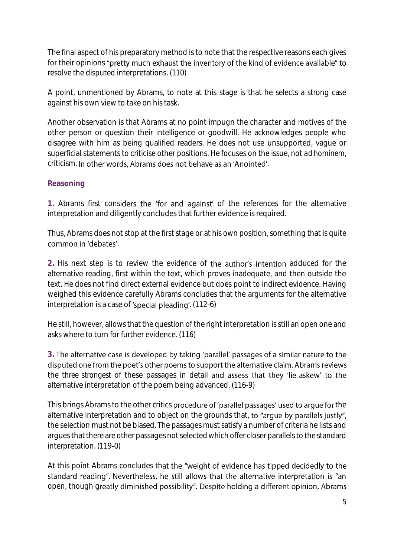The final aspect of his preparatory method is to note that the respective reasons each gives for their opinions "pretty much exhaust the inventory of the kind of evidence available" to resolve the disputed interpretations. (110)

A point, unmentioned by Abrams, to note at this stage is that he selects a strong case against his own view to take on his task.

Another observation is that Abrams at no point impugn the character and motives of the other person or question their intelligence or goodwill. He acknowledges people who disagree with him as being qualified readers. He does not use unsupported, vague or superficial statements to criticise other positions. He focuses on the issue, not *ad hominem*, criticism. In other words, Abrams does not behave as an 'Anointed'.

### **Reasoning**

1. Abrams first considers the 'for and against' of the references for the alternative interpretation and diligently concludes that further evidence is required.

Thus, Abrams does not stop at the first stage or at his own position, something that is quite common in 'debates'

2. His next step is to review the evidence of the author's intention adduced for the alternative reading, first within the text, which proves inadequate, and then outside the text. He does not find direct external evidence but does point to indirect evidence. Having weighed this evidence carefully Abrams concludes that the arguments for the alternative interpretation is a case of 'special pleading'. (112-6)

He still, however, allows that the question of the right interpretation is still an open one and asks where to turn for further evidence. (116)

3. The alternative case is developed by taking 'parallel' passages of a similar nature to the disputed one from the poet's other poems to support the alternative claim. Abrams reviews the *three strongest* of these passages in detail and assess that they 'lie askew' to the alternative interpretation of the poem being advanced. (116-9)

This brings Abrams to the other critics procedure of 'parallel passages' used to arque for the alternative interpretation and to object on the grounds that, to "arque by parallels justly", the selection must not be biased. The passages must satisfy a number of criteria he lists and argues that there are other passages not selected which offer closer parallels to the standard interpretation. (119-0)

At this point Abrams concludes that the "weight of evidence has tipped decidedly to the standard reading". Nevertheless, he still allows that the alternative interpretation is "an open, though greatly diminished possibility". Despite holding a different opinion, Abrams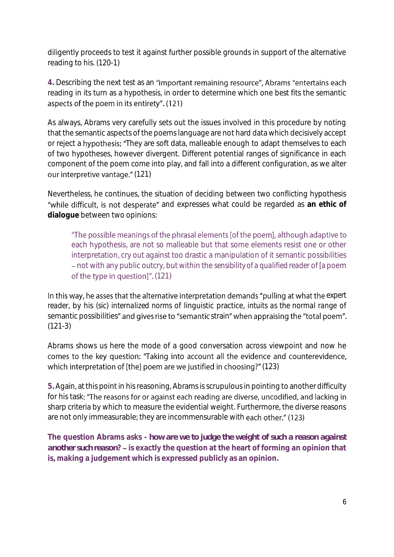diligently proceeds to test it against further possible grounds in support of the alternative reading to his. (120-1)

4. Describing the next test as an "important remaining resource", Abrams "entertains each reading in its turn as a hypothesis, in order to determine which one best fits the semantic aspects of the poem in its entirety". (121)

As always, Abrams very carefully sets out the issues involved in this procedure by noting that the semantic aspects of the poems language are not hard data which decisively accept or reject a hypothesis: "They are soft data, malleable enough to adapt themselves to each of two hypotheses, however divergent. Different potential ranges of significance in each component of the poem come into play, and fall into a different configuration, as we alter our interpretive vantage." (121)

Nevertheless, he continues, the situation of deciding between two conflicting hypothesis "while difficult, is not desperate" and expresses what could be regarded as an ethic of **dialogue** between two opinions:

"The possible meanings of the phrasal elements [of the poem], although adaptive to each hypothesis, are not so malleable but that some elements resist one or other interpretation, cry out against too drastic a manipulation of it semantic possibilities not with any public outcry, but within the *sensibility of a qualified reader* of [a poem of the type in question]". (121)

In this way, he asses that the alternative interpretation demands "pulling at what the *expert reader*, by his *(sic) internalized norms* of linguistic practice, *intuits as the normal range* of semantic possibilities" and gives rise to "semantic strain" when appraising the "total poem". (121-3)

Abrams shows us here the mode of a good conversation across viewpoint and now he comes to the key question: "Taking into account all the evidence and counterevidence, which interpretation of [the] poem are we justified in choosing?" (123)

**5.** Again, at this point in his reasoning, Abramsis scrupulous in pointing to another difficulty for his task: "The reasons for or against each reading are diverse, uncodified, and lacking in sharp criteria by which to measure the evidential weight. Furthermore, the diverse reasons are not only immeasurable; they are incommensurable with each other." (123)

**The question Abrams asks -** *how are we to judge the weight of such a reason against another such reason*? – is exactly the question at the heart of forming an opinion that **is, making a judgement which is expressed publicly as an opinion.**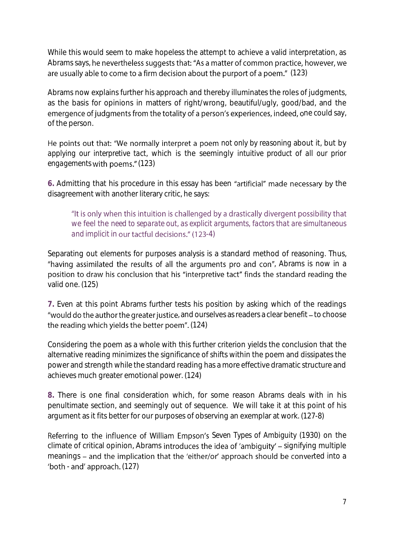While this would seem to make hopeless the attempt to achieve a valid interpretation, as Abrams says, he nevertheless suggests that: "As a matter of common practice, however, we are usually able to come to a firm decision about the purport of a poem." (123)

Abrams now explains further his approach and thereby illuminates the roles of judgments, as the basis for opinions in matters of right/wrong, beautiful/ugly, good/bad, and the emergence of judgments from the totality of a person's experiences, indeed, one could say, of the person.

He points out that: "We normally interpret a poem not only by reasoning about it, but by *applying our interpretive tact*, which is the seemingly *intuitive product of all our prior*  engagements with poems." (123)

6. Admitting that his procedure in this essay has been "artificial" made necessary by the disagreement with another literary critic, he says:

"It is only when this intuition is challenged by a drastically divergent possibility that we feel the *need to separate out*, *as explicit arguments*, *factors that are simultaneous and implicit* in our tactful decisions." (123-4)

Separating out elements for purposes analysis is a standard method of reasoning. Thus, "having assimilated the results of all the arguments pro and con", Abrams is now in a position to draw his conclusion that his "interpretive tact" finds the standard reading the valid one. (125)

**7.** Even at this point Abrams further tests his position by asking which of the readings "would do the author the greater justice, and ourselves as readers a clear benefit – to choose the reading which yields the better poem". (124)

Considering the poem as a whole with this further criterion yields the conclusion that the alternative reading minimizes the significance of shifts within the poem and dissipates the power and strength while the standard reading has a more effective dramatic structure and achieves much greater emotional power. (124)

**8.** There is one final consideration which, for some reason Abrams deals with in his penultimate section, and seemingly out of sequence. We will take it at this point of his argument as it fits better for our purposes of observing an exemplar at work. (127-8)

*Seven Types of Ambiguity* (1930) on the climate of critical opinion, Abrams introduces the idea of 'ambiguity' – signifying multiple meanings – and the implication that the 'either/or' approach should be converted into a 'both - and' approach. (127)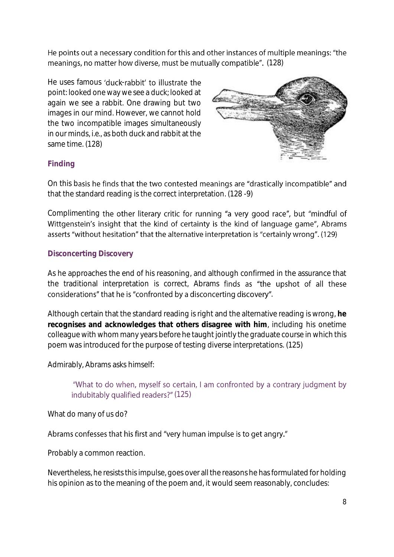He points out a necessary condition for this and other instances of multiple meanings: "the meanings, no matter how diverse, must be mutually compatible". (128)

He uses famous 'duck-rabbit' to illustrate the point: looked one way we see a duck; looked at again we see a rabbit. One drawing but two images in our mind. However, we cannot hold the two incompatible images simultaneously in our minds, *i.e.,* as both duck and rabbit at the same time. (128)



### **Finding**

On this basis he finds that the two contested meanings are "drastically incompatible" and that the standard reading is the correct interpretation. (128 -9)

Complimenting the other literary critic for running "a very good race", but "mindful of Wittgenstein's insight that the kind of certainty is the kind of language game", Abrams asserts "without hesitation" that the alternative interpretation is "certainly wrong". (129)

### **Disconcerting Discovery**

As he approaches the end of his reasoning, and although confirmed in the assurance that the traditional interpretation is correct, Abrams finds as "the upshot of all these considerations" that he is "confronted by a disconcerting discovery".

Although certain that the standard reading is right and the alternative reading is wrong, **he recognises and acknowledges that others disagree with him**, including his onetime colleague with whom many years before he taught jointly the graduate course in which this poem was introduced for the purpose of testing diverse interpretations. (125)

Admirably, Abrams asks himself:

"What to do when, myself so certain, I am confronted by a contrary judgment by indubitably qualified readers?" (125)

What do many of us do?

#### Abrams confesses that his first and "very human impulse is to get angry."

Probably a common reaction.

Nevertheless, he resists this impulse, goes over all the reasons he has formulated for holding his opinion as to the meaning of the poem and, it would seem reasonably, concludes: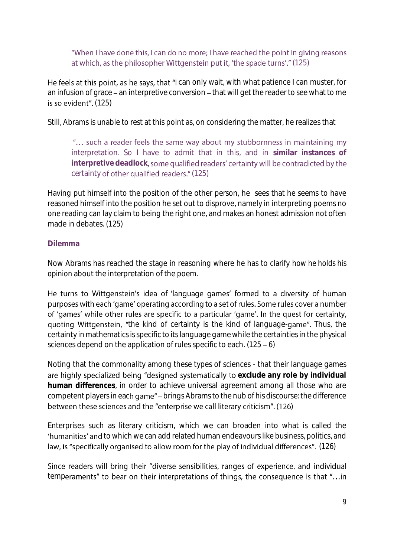"When I have done this, I can do no more; I have reached the point in giving reasons at which, as the philosopher Wittgenstein put it, 'the spade turns'." (125)

He feels at this point, as he says, that "I can only wait, with what patience I can muster, for an infusion of grace – an interpretive conversion – that will get the reader to see what to me is so evident".  $(125)$ 

Still, Abrams is unable to rest at this point as, on considering the matter, he realizes that

"... such a reader feels the same way about my stubbornness in maintaining my interpretation. So I have to admit that in this, and in **similar instances of interpretive deadlock** certainty of other qualified readers." (125)

Having put himself into the position of the other person, he sees that he seems to have reasoned himself into the position he set out to disprove, namely in interpreting poems no one reading can lay claim to being the right one, and makes an honest admission not often made in debates. (125)

#### **Dilemma**

Now Abrams has reached the stage in reasoning where he has to clarify *how he holds his opinion* about the interpretation of the poem.

He turns to Wittgenstein's idea of 'language games' formed to a diversity of human purposes with each 'game' operating according to a set of rules. Some rules cover a number of 'games' while other rules are specific to a particular 'game'. In the quest for certainty, quoting Wittgenstein, "the kind of certainty is the kind of language-game". Thus, the certainty in mathematics is specific to its language game while the certainties in the physical sciences depend on the application of rules specific to each.  $(125 - 6)$ 

Noting that the commonality among these types of sciences - that their language games are highly specialized being "designed systematically to exclude any role by individual **human differences**, in order to achieve universal agreement among all those who are competent players in each game" - brings Abrams to the nub of his discourse: the difference between these sciences and the "enterprise we call literary criticism". (126)

Enterprises such as literary criticism, which we can broaden into what is called the 'humanities' and to which we can add related human endeavours like business, politics, and law, is "specifically organised to allow room for the play of individual differences". (126)

Since readers will bring their "diverse sensibilities, ranges of experience, and individual temperaments" to bear on their interpretations of things, the consequence is that "...in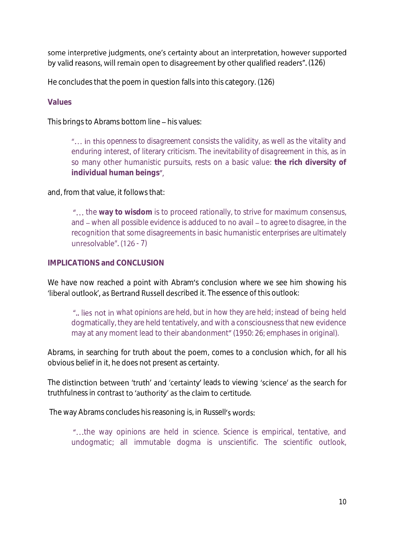some interpretive judgments, one's certainty about an interpretation, however supported by valid reasons, will remain open to disagreement by other qualified readers". (126)

He concludes that the poem in question falls into this category. (126)

#### **Values**

This brings to Abrams bottom line - his values:

"... in this *openness to disagreement* consists the validity, as well as the vitality and enduring interest, of literary criticism. The *inevitability of disagreement* in this, as in so many other humanistic pursuits, rests on a basic value: **the rich diversity of individual human beings**

and, from that value, it follows that:

"... the way to wisdom is to proceed rationally, to strive for maximum consensus, and – when all possible evidence is adduced to no avail – to *agree to disagree*, in the recognition that some disagreements in basic humanistic enterprises are ultimately unresolvable". (126 - 7)

### **IMPLICATIONS and CONCLUSION**

We have now reached a point with Abram's conclusion where we see him showing his 'liberal outlook', as Bertrand Russell described it. The essence of this outlook:

*what opinions are held, but in how they are held*; instead of being held dogmatically, they are held tentatively, and with a consciousness that new evidence may at any moment lead to their abandonment" (1950: 26; emphases in original).

Abrams, in searching for truth about the poem, comes to a conclusion which, for all his obvious belief in it, he does not present as certainty.

The distinction between 'truth' and 'certainty' leads to viewing 'science' as the search for truthfulness in contrast to 'authority' as the claim to certitude.

The way Abrams concludes his reasoning is, in Russell's words:

"...the way opinions are held in science. Science is empirical, tentative, and undogmatic; all immutable dogma is unscientific. The scientific outlook,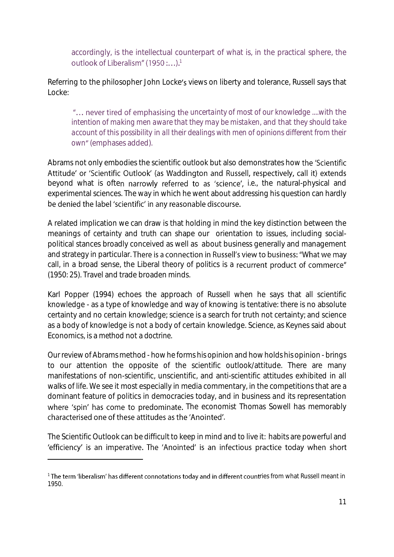accordingly, is the intellectual counterpart of what is, in the practical sphere, the outlook of Liberalism" (1950 :...).<sup>1</sup>

Referring to the philosopher John Locke's views on liberty and tolerance, Russell says that Locke:

*uncertainty of most of our knowledge* ....with the *intention of making men aware that they may be mistaken*, and that *they should take account of this possibility in all their dealings with men of opinions different from their*  own" (emphases added).

Abrams not only embodies the scientific outlook but also demonstrates how the 'Scientific Attitude' or 'Scientific Outlook' (as Waddington and Russell, respectively, call it) extends beyond what is often narrowly referred to as 'science', *i.e.*, the natural-physical and experimental sciences. The way in which he went about addressing his question can hardly be denied the label 'scientific' in any reasonable discourse.

A related implication we can draw is that holding in mind the key distinction between the meanings of *certainty* and *truth* can shape our orientation to issues, including socialpolitical stances broadly conceived as well as about business generally and management and strategy in particular. There is a connection in Russell's view to business: "What we may call, in a broad sense, the Liberal theory of politics is a recurrent product of commerce" (1950: 25). Travel and trade broaden minds.

Karl Popper (1994) echoes the approach of Russell when he says that all scientific knowledge - as a type of knowledge and way of knowing is tentative: there is no absolute certainty and no certain knowledge; science is a search for truth not certainty; and science as a body of knowledge is not a body of certain knowledge. Science, as Keynes said about Economics, is a *method* not a *doctrine*.

Our review of Abrams method - how he forms his opinion and how holds his opinion - brings to our attention the opposite of the scientific outlook/attitude. There are many manifestations of non-scientific, unscientific, and anti-scientific attitudes exhibited in all walks of life. We see it most especially in media commentary, in the competitions that are a dominant feature of politics in democracies today, and in business and its representation where 'spin' has come to predominate. The economist Thomas Sowell has memorably characterised one of these attitudes as the 'Anointed'.

The Scientific Outlook can be difficult to keep in mind and to live it: habits are powerful and 'efficiency' is an imperative. The 'Anointed' is an infectious practice today when short

**.** 

 $^{\rm 1}$ The term 'liberalism' has different connotations today and in different countries from what Russell meant in 1950.